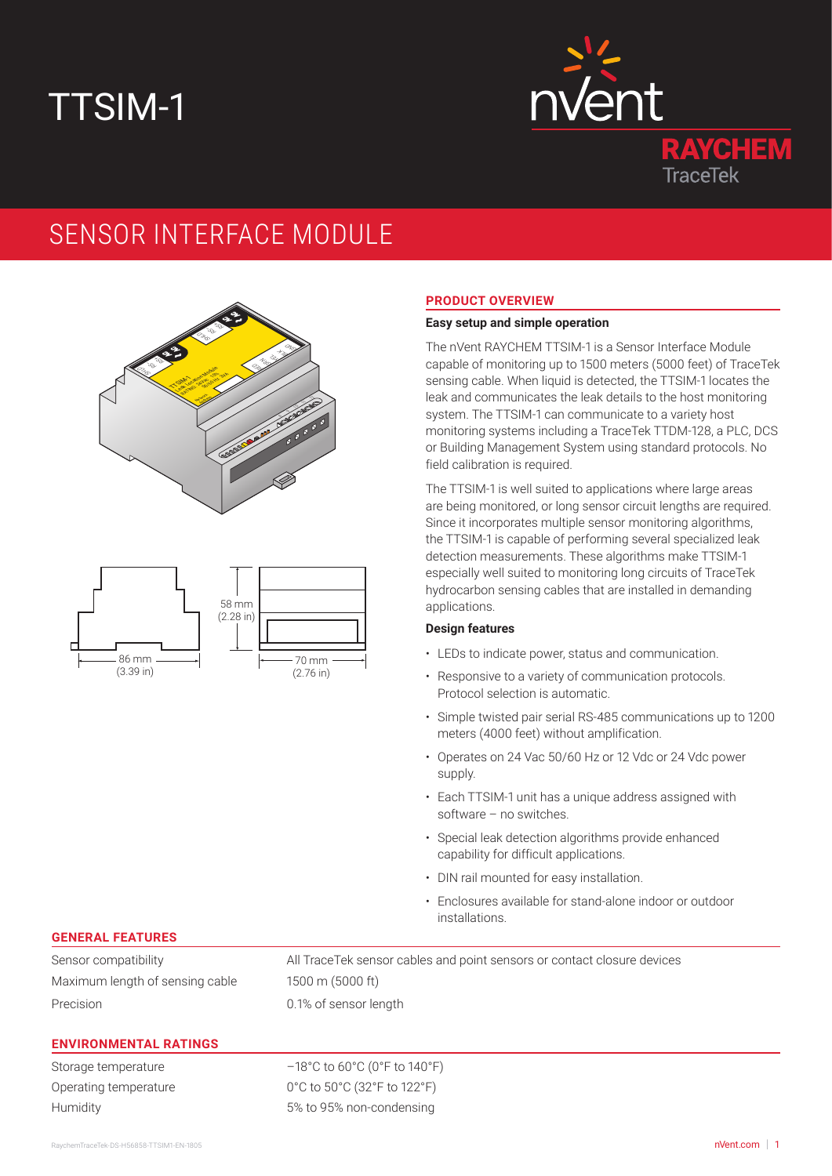# TTSIM-1



# SENSOR INTERFACE MODULE





# **PRODUCT OVERVIEW**

## **Easy setup and simple operation**

The nVent RAYCHEM TTSIM-1 is a Sensor Interface Module capable of monitoring up to 1500 meters (5000 feet) of TraceTek sensing cable. When liquid is detected, the TTSIM-1 locates the leak and communicates the leak details to the host monitoring system. The TTSIM-1 can communicate to a variety host monitoring systems including a TraceTek TTDM-128, a PLC, DCS or Building Management System using standard protocols. No field calibration is required.

The TTSIM-1 is well suited to applications where large areas are being monitored, or long sensor circuit lengths are required. Since it incorporates multiple sensor monitoring algorithms, the TTSIM-1 is capable of performing several specialized leak detection measurements. These algorithms make TTSIM-1 especially well suited to monitoring long circuits of TraceTek hydrocarbon sensing cables that are installed in demanding applications.

#### **Design features**

- LEDs to indicate power, status and communication.
- Responsive to a variety of communication protocols. Protocol selection is automatic.
- Simple twisted pair serial RS-485 communications up to 1200 meters (4000 feet) without amplification.
- Operates on 24 Vac 50/60 Hz or 12 Vdc or 24 Vdc power supply.
- Each TTSIM-1 unit has a unique address assigned with software – no switches.
- Special leak detection algorithms provide enhanced capability for difficult applications.
- DIN rail mounted for easy installation.
- Enclosures available for stand-alone indoor or outdoor installations.

## **GENERAL FEATURES**

Maximum length of sensing cable 1500 m (5000 ft) Precision 0.1% of sensor length

Sensor compatibility All TraceTek sensor cables and point sensors or contact closure devices

#### **ENVIRONMENTAL RATINGS**

Storage temperature –18°C to 60°C (0°F to 140°F) Operating temperature 0°C to 50°C (32°F to 122°F) Humidity 5% to 95% non-condensing